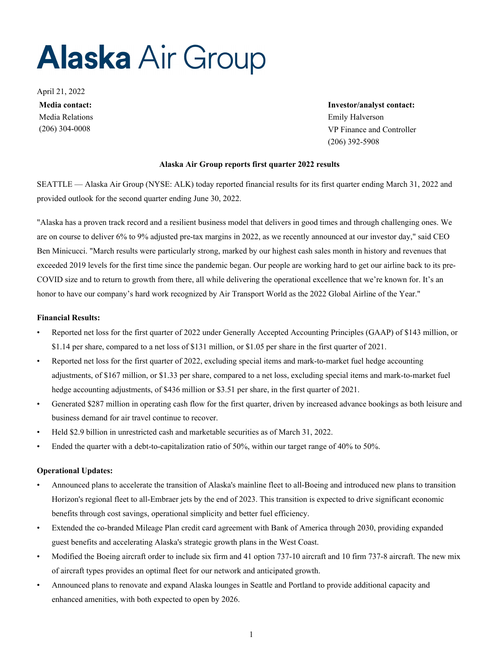# **Alaska Air Group**

April 21, 2022 Media Relations Emily Halverson

**Media contact: Investor/analyst contact:** (206) 304-0008 VP Finance and Controller (206) 392-5908

#### **Alaska Air Group reports first quarter 2022 results**

SEATTLE — Alaska Air Group (NYSE: ALK) today reported financial results for its first quarter ending March 31, 2022 and provided outlook for the second quarter ending June 30, 2022.

"Alaska has a proven track record and a resilient business model that delivers in good times and through challenging ones. We are on course to deliver 6% to 9% adjusted pre-tax margins in 2022, as we recently announced at our investor day," said CEO Ben Minicucci. "March results were particularly strong, marked by our highest cash sales month in history and revenues that exceeded 2019 levels for the first time since the pandemic began. Our people are working hard to get our airline back to its pre-COVID size and to return to growth from there, all while delivering the operational excellence that we're known for. It's an honor to have our company's hard work recognized by Air Transport World as the 2022 Global Airline of the Year."

#### **Financial Results:**

- Reported net loss for the first quarter of 2022 under Generally Accepted Accounting Principles (GAAP) of \$143 million, or \$1.14 per share, compared to a net loss of \$131 million, or \$1.05 per share in the first quarter of 2021.
- Reported net loss for the first quarter of 2022, excluding special items and mark-to-market fuel hedge accounting adjustments, of \$167 million, or \$1.33 per share, compared to a net loss, excluding special items and mark-to-market fuel hedge accounting adjustments, of \$436 million or \$3.51 per share, in the first quarter of 2021.
- Generated \$287 million in operating cash flow for the first quarter, driven by increased advance bookings as both leisure and business demand for air travel continue to recover.
- Held \$2.9 billion in unrestricted cash and marketable securities as of March 31, 2022.
- Ended the quarter with a debt-to-capitalization ratio of 50%, within our target range of 40% to 50%.

#### **Operational Updates:**

- Announced plans to accelerate the transition of Alaska's mainline fleet to all-Boeing and introduced new plans to transition Horizon's regional fleet to all-Embraer jets by the end of 2023. This transition is expected to drive significant economic benefits through cost savings, operational simplicity and better fuel efficiency.
- Extended the co-branded Mileage Plan credit card agreement with Bank of America through 2030, providing expanded guest benefits and accelerating Alaska's strategic growth plans in the West Coast.
- Modified the Boeing aircraft order to include six firm and 41 option 737-10 aircraft and 10 firm 737-8 aircraft. The new mix of aircraft types provides an optimal fleet for our network and anticipated growth.
- Announced plans to renovate and expand Alaska lounges in Seattle and Portland to provide additional capacity and enhanced amenities, with both expected to open by 2026.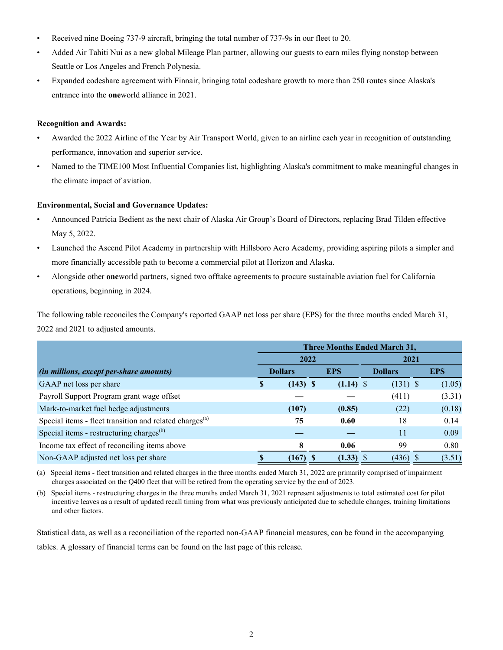- Received nine Boeing 737-9 aircraft, bringing the total number of 737-9s in our fleet to 20.
- Added Air Tahiti Nui as a new global Mileage Plan partner, allowing our guests to earn miles flying nonstop between Seattle or Los Angeles and French Polynesia.
- Expanded codeshare agreement with Finnair, bringing total codeshare growth to more than 250 routes since Alaska's entrance into the **one**world alliance in 2021.

#### **Recognition and Awards:**

- Awarded the 2022 Airline of the Year by Air Transport World, given to an airline each year in recognition of outstanding performance, innovation and superior service.
- Named to the TIME100 Most Influential Companies list, highlighting Alaska's commitment to make meaningful changes in the climate impact of aviation.

#### **Environmental, Social and Governance Updates:**

- Announced Patricia Bedient as the next chair of Alaska Air Group's Board of Directors, replacing Brad Tilden effective May 5, 2022.
- Launched the Ascend Pilot Academy in partnership with Hillsboro Aero Academy, providing aspiring pilots a simpler and more financially accessible path to become a commercial pilot at Horizon and Alaska.
- Alongside other **one**world partners, signed two offtake agreements to procure sustainable aviation fuel for California operations, beginning in 2024.

The following table reconciles the Company's reported GAAP net loss per share (EPS) for the three months ended March 31, 2022 and 2021 to adjusted amounts.

|                                                                     | <b>Three Months Ended March 31,</b> |                |  |             |  |                |  |            |  |  |  |
|---------------------------------------------------------------------|-------------------------------------|----------------|--|-------------|--|----------------|--|------------|--|--|--|
|                                                                     |                                     | 2022           |  |             |  | 2021           |  |            |  |  |  |
| (in millions, except per-share amounts)                             |                                     | <b>Dollars</b> |  | <b>EPS</b>  |  | <b>Dollars</b> |  | <b>EPS</b> |  |  |  |
| GAAP net loss per share                                             | \$                                  | $(143)$ \$     |  | $(1.14)$ \$ |  | $(131)$ \$     |  | (1.05)     |  |  |  |
| Payroll Support Program grant wage offset                           |                                     |                |  |             |  | (411)          |  | (3.31)     |  |  |  |
| Mark-to-market fuel hedge adjustments                               |                                     | (107)          |  | (0.85)      |  | (22)           |  | (0.18)     |  |  |  |
| Special items - fleet transition and related charges <sup>(a)</sup> |                                     | 75             |  | 0.60        |  | 18             |  | 0.14       |  |  |  |
| Special items - restructuring charges <sup>(b)</sup>                |                                     |                |  |             |  | 11             |  | 0.09       |  |  |  |
| Income tax effect of reconciling items above                        |                                     | 8              |  | 0.06        |  | 99             |  | 0.80       |  |  |  |
| Non-GAAP adjusted net loss per share                                |                                     | (167)          |  | (1.33)      |  | $(436)$ \$     |  | (3.51)     |  |  |  |

(a) Special items - fleet transition and related charges in the three months ended March 31, 2022 are primarily comprised of impairment charges associated on the Q400 fleet that will be retired from the operating service by the end of 2023.

(b) Special items - restructuring charges in the three months ended March 31, 2021 represent adjustments to total estimated cost for pilot incentive leaves as a result of updated recall timing from what was previously anticipated due to schedule changes, training limitations and other factors.

Statistical data, as well as a reconciliation of the reported non-GAAP financial measures, can be found in the accompanying tables. A glossary of financial terms can be found on the last page of this release.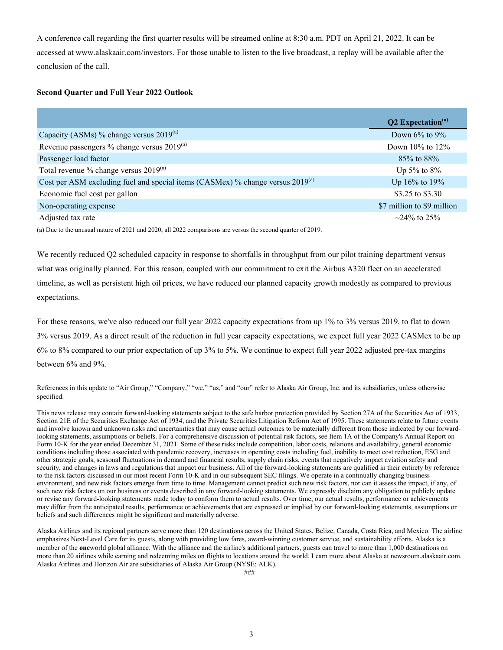A conference call regarding the first quarter results will be streamed online at 8:30 a.m. PDT on April 21, 2022. It can be accessed at www.alaskaair.com/investors. For those unable to listen to the live broadcast, a replay will be available after the conclusion of the call.

#### **Second Quarter and Full Year 2022 Outlook**

|                                                                                     | <b>Q2</b> Expectation <sup>(a)</sup> |
|-------------------------------------------------------------------------------------|--------------------------------------|
| Capacity (ASMs) % change versus $2019^{(a)}$                                        | Down $6\%$ to $9\%$                  |
| Revenue passengers % change versus $2019^{(a)}$                                     | Down $10\%$ to $12\%$                |
| Passenger load factor                                                               | 85\% to 88\%                         |
| Total revenue $\%$ change versus 2019 <sup>(a)</sup>                                | Up 5% to $8\%$                       |
| Cost per ASM excluding fuel and special items (CASMex) % change versus $2019^{(a)}$ | Up $16\%$ to $19\%$                  |
| Economic fuel cost per gallon                                                       | \$3.25 to \$3.30                     |
| Non-operating expense                                                               | \$7 million to \$9 million           |
| Adjusted tax rate                                                                   | $\sim$ 24\% to 25\%                  |

(a) Due to the unusual nature of 2021 and 2020, all 2022 comparisons are versus the second quarter of 2019.

We recently reduced Q2 scheduled capacity in response to shortfalls in throughput from our pilot training department versus what was originally planned. For this reason, coupled with our commitment to exit the Airbus A320 fleet on an accelerated timeline, as well as persistent high oil prices, we have reduced our planned capacity growth modestly as compared to previous expectations.

For these reasons, we've also reduced our full year 2022 capacity expectations from up 1% to 3% versus 2019, to flat to down 3% versus 2019. As a direct result of the reduction in full year capacity expectations, we expect full year 2022 CASMex to be up 6% to 8% compared to our prior expectation of up 3% to 5%. We continue to expect full year 2022 adjusted pre-tax margins between 6% and 9%.

References in this update to "Air Group," "Company," "we," "us," and "our" refer to Alaska Air Group, Inc. and its subsidiaries, unless otherwise specified.

This news release may contain forward-looking statements subject to the safe harbor protection provided by Section 27A of the Securities Act of 1933, Section 21E of the Securities Exchange Act of 1934, and the Private Securities Litigation Reform Act of 1995. These statements relate to future events and involve known and unknown risks and uncertainties that may cause actual outcomes to be materially different from those indicated by our forwardlooking statements, assumptions or beliefs. For a comprehensive discussion of potential risk factors, see Item 1A of the Company's Annual Report on Form 10-K for the year ended December 31, 2021. Some of these risks include competition, labor costs, relations and availability, general economic conditions including those associated with pandemic recovery, increases in operating costs including fuel, inability to meet cost reduction, ESG and other strategic goals, seasonal fluctuations in demand and financial results, supply chain risks, events that negatively impact aviation safety and security, and changes in laws and regulations that impact our business. All of the forward-looking statements are qualified in their entirety by reference to the risk factors discussed in our most recent Form 10-K and in our subsequent SEC filings. We operate in a continually changing business environment, and new risk factors emerge from time to time. Management cannot predict such new risk factors, nor can it assess the impact, if any, of such new risk factors on our business or events described in any forward-looking statements. We expressly disclaim any obligation to publicly update or revise any forward-looking statements made today to conform them to actual results. Over time, our actual results, performance or achievements may differ from the anticipated results, performance or achievements that are expressed or implied by our forward-looking statements, assumptions or beliefs and such differences might be significant and materially adverse.

Alaska Airlines and its regional partners serve more than 120 destinations across the United States, Belize, Canada, Costa Rica, and Mexico. The airline emphasizes Next-Level Care for its guests, along with providing low fares, award-winning customer service, and sustainability efforts. Alaska is a member of the **one**world global alliance. With the alliance and the airline's additional partners, guests can travel to more than 1,000 destinations on more than 20 airlines while earning and redeeming miles on flights to locations around the world. Learn more about Alaska at newsroom.alaskaair.com. Alaska Airlines and Horizon Air are subsidiaries of Alaska Air Group (NYSE: ALK).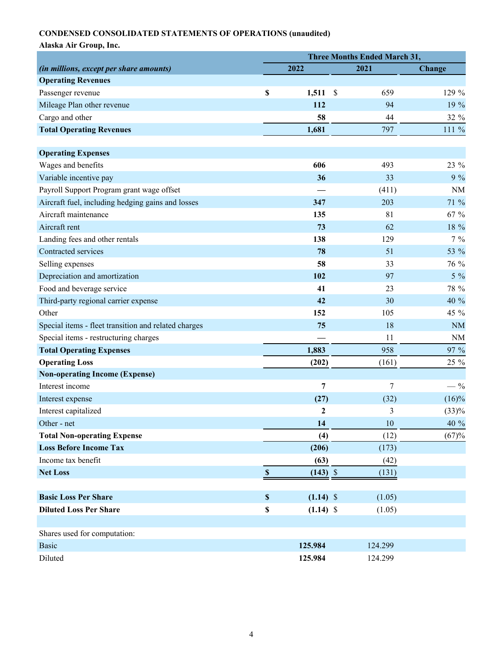# **CONDENSED CONSOLIDATED STATEMENTS OF OPERATIONS (unaudited)**

|                                                      | <b>Three Months Ended March 31,</b> |             |               |         |               |  |  |  |  |  |
|------------------------------------------------------|-------------------------------------|-------------|---------------|---------|---------------|--|--|--|--|--|
| (in millions, except per share amounts)              |                                     | 2022        | 2021          |         | <b>Change</b> |  |  |  |  |  |
| <b>Operating Revenues</b>                            |                                     |             |               |         |               |  |  |  |  |  |
| Passenger revenue                                    | \$                                  | 1,511       | $\mathcal{S}$ | 659     | 129 %         |  |  |  |  |  |
| Mileage Plan other revenue                           |                                     | 112         |               | 94      | 19 %          |  |  |  |  |  |
| Cargo and other                                      |                                     | 58          |               | 44      | 32 %          |  |  |  |  |  |
| <b>Total Operating Revenues</b>                      |                                     | 1,681       |               | 797     | 111 %         |  |  |  |  |  |
| <b>Operating Expenses</b>                            |                                     |             |               |         |               |  |  |  |  |  |
| Wages and benefits                                   |                                     | 606         |               | 493     | 23 %          |  |  |  |  |  |
| Variable incentive pay                               |                                     | 36          |               | 33      | $9\%$         |  |  |  |  |  |
| Payroll Support Program grant wage offset            |                                     |             |               | (411)   | <b>NM</b>     |  |  |  |  |  |
| Aircraft fuel, including hedging gains and losses    |                                     | 347         |               | 203     | 71 %          |  |  |  |  |  |
| Aircraft maintenance                                 |                                     | 135         |               | 81      | 67 %          |  |  |  |  |  |
| Aircraft rent                                        |                                     | 73          |               | 62      | 18 %          |  |  |  |  |  |
| Landing fees and other rentals                       |                                     | 138         |               | 129     | $7\%$         |  |  |  |  |  |
| Contracted services                                  |                                     | 78          |               | 51      | 53 %          |  |  |  |  |  |
| Selling expenses                                     |                                     | 58          |               | 33      | 76 %          |  |  |  |  |  |
| Depreciation and amortization                        |                                     | 102         |               | 97      | $5\%$         |  |  |  |  |  |
| Food and beverage service                            |                                     | 41          |               | 23      | 78 %          |  |  |  |  |  |
| Third-party regional carrier expense                 |                                     | 42          |               | 30      | 40 %          |  |  |  |  |  |
| Other                                                |                                     | 152         |               | 105     | 45 %          |  |  |  |  |  |
| Special items - fleet transition and related charges |                                     | 75          |               | 18      | <b>NM</b>     |  |  |  |  |  |
| Special items - restructuring charges                |                                     |             |               | 11      | <b>NM</b>     |  |  |  |  |  |
| <b>Total Operating Expenses</b>                      |                                     | 1,883       |               | 958     | 97 %          |  |  |  |  |  |
| <b>Operating Loss</b>                                |                                     | (202)       |               | (161)   | 25 %          |  |  |  |  |  |
| <b>Non-operating Income (Expense)</b>                |                                     |             |               |         |               |  |  |  |  |  |
| Interest income                                      |                                     | 7           |               | 7       | $-$ %         |  |  |  |  |  |
| Interest expense                                     |                                     | (27)        |               | (32)    | $(16)\%$      |  |  |  |  |  |
| Interest capitalized                                 |                                     | 2           |               | 3       | (33)%         |  |  |  |  |  |
| Other - net                                          |                                     | 14          |               | $10\,$  | 40 %          |  |  |  |  |  |
| <b>Total Non-operating Expense</b>                   |                                     | (4)         |               | (12)    | (67)%         |  |  |  |  |  |
| <b>Loss Before Income Tax</b>                        |                                     | (206)       |               | (173)   |               |  |  |  |  |  |
| Income tax benefit                                   |                                     | (63)        |               | (42)    |               |  |  |  |  |  |
| <b>Net Loss</b>                                      | $\mathbb S$                         | $(143)$ \$  |               | (131)   |               |  |  |  |  |  |
| <b>Basic Loss Per Share</b>                          | \$                                  | $(1.14)$ \$ |               | (1.05)  |               |  |  |  |  |  |
| <b>Diluted Loss Per Share</b>                        | \$                                  | $(1.14)$ \$ |               | (1.05)  |               |  |  |  |  |  |
|                                                      |                                     |             |               |         |               |  |  |  |  |  |
| Shares used for computation:                         |                                     |             |               |         |               |  |  |  |  |  |
| <b>Basic</b>                                         |                                     | 125.984     |               | 124.299 |               |  |  |  |  |  |
| Diluted                                              |                                     | 125.984     |               | 124.299 |               |  |  |  |  |  |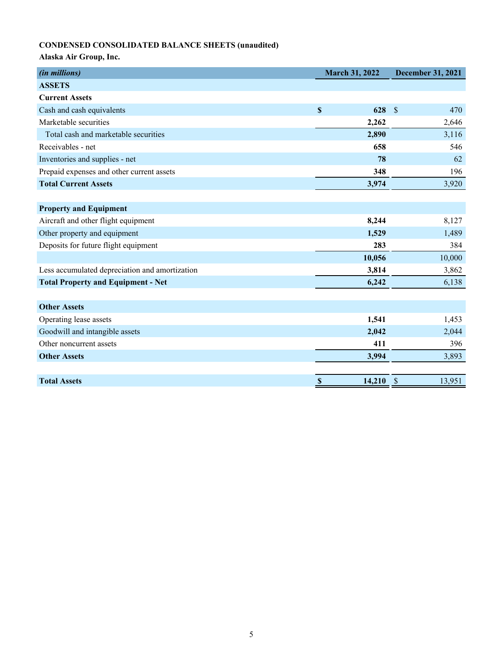# **CONDENSED CONSOLIDATED BALANCE SHEETS (unaudited)**

| (in millions)                                  | <b>March 31, 2022</b>            | <b>December 31, 2021</b> |  |  |  |
|------------------------------------------------|----------------------------------|--------------------------|--|--|--|
| <b>ASSETS</b>                                  |                                  |                          |  |  |  |
| <b>Current Assets</b>                          |                                  |                          |  |  |  |
| Cash and cash equivalents                      | $\boldsymbol{\mathsf{S}}$<br>628 | $\mathcal{S}$<br>470     |  |  |  |
| Marketable securities                          | 2,262                            | 2,646                    |  |  |  |
| Total cash and marketable securities           | 2,890                            | 3,116                    |  |  |  |
| Receivables - net                              | 658                              | 546                      |  |  |  |
| Inventories and supplies - net                 | 78                               | 62                       |  |  |  |
| Prepaid expenses and other current assets      | 348                              | 196                      |  |  |  |
| <b>Total Current Assets</b>                    | 3,974                            | 3,920                    |  |  |  |
|                                                |                                  |                          |  |  |  |
| <b>Property and Equipment</b>                  |                                  |                          |  |  |  |
| Aircraft and other flight equipment            | 8,244                            | 8,127                    |  |  |  |
| Other property and equipment                   | 1,529                            | 1,489                    |  |  |  |
| Deposits for future flight equipment           | 283                              | 384                      |  |  |  |
|                                                | 10,056                           | 10,000                   |  |  |  |
| Less accumulated depreciation and amortization | 3,814                            | 3,862                    |  |  |  |
| <b>Total Property and Equipment - Net</b>      | 6,242                            | 6,138                    |  |  |  |
|                                                |                                  |                          |  |  |  |
| <b>Other Assets</b>                            |                                  |                          |  |  |  |
| Operating lease assets                         | 1,541                            | 1,453                    |  |  |  |
| Goodwill and intangible assets                 | 2,042                            | 2,044                    |  |  |  |
| Other noncurrent assets                        | 411                              | 396                      |  |  |  |
| <b>Other Assets</b>                            | 3,994                            | 3,893                    |  |  |  |
|                                                |                                  |                          |  |  |  |
| <b>Total Assets</b>                            | \$<br>$14,210$ \$                | 13,951                   |  |  |  |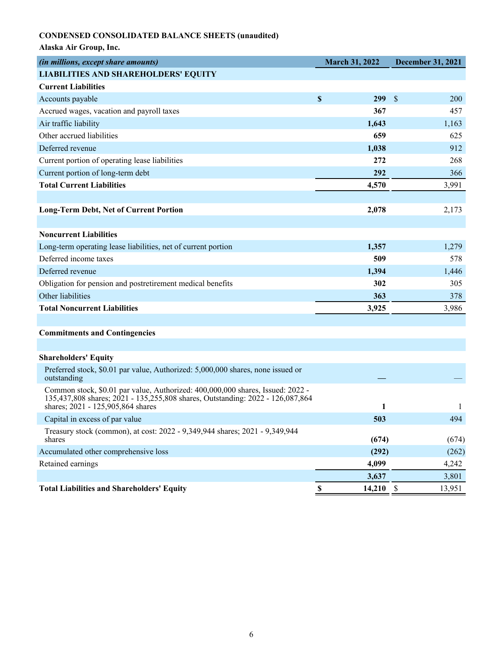# **CONDENSED CONSOLIDATED BALANCE SHEETS (unaudited)**

|  | Alaska Air Group, Inc. |  |  |  |
|--|------------------------|--|--|--|
|--|------------------------|--|--|--|

| <i>Thuska The Oroup, Inc.</i>                                                                                                                                                                         |                       |                          |
|-------------------------------------------------------------------------------------------------------------------------------------------------------------------------------------------------------|-----------------------|--------------------------|
| (in millions, except share amounts)                                                                                                                                                                   | <b>March 31, 2022</b> | <b>December 31, 2021</b> |
| <b>LIABILITIES AND SHAREHOLDERS' EQUITY</b>                                                                                                                                                           |                       |                          |
| <b>Current Liabilities</b>                                                                                                                                                                            |                       |                          |
| Accounts payable                                                                                                                                                                                      | \$<br>299             | \$<br><b>200</b>         |
| Accrued wages, vacation and payroll taxes                                                                                                                                                             | 367                   | 457                      |
| Air traffic liability                                                                                                                                                                                 | 1,643                 | 1,163                    |
| Other accrued liabilities                                                                                                                                                                             | 659                   | 625                      |
| Deferred revenue                                                                                                                                                                                      | 1,038                 | 912                      |
| Current portion of operating lease liabilities                                                                                                                                                        | 272                   | 268                      |
| Current portion of long-term debt                                                                                                                                                                     | 292                   | 366                      |
| <b>Total Current Liabilities</b>                                                                                                                                                                      | 4,570                 | 3,991                    |
|                                                                                                                                                                                                       |                       |                          |
| <b>Long-Term Debt, Net of Current Portion</b>                                                                                                                                                         | 2,078                 | 2,173                    |
|                                                                                                                                                                                                       |                       |                          |
| <b>Noncurrent Liabilities</b>                                                                                                                                                                         |                       |                          |
| Long-term operating lease liabilities, net of current portion                                                                                                                                         | 1,357                 | 1,279                    |
| Deferred income taxes                                                                                                                                                                                 | 509                   | 578                      |
| Deferred revenue                                                                                                                                                                                      | 1,394                 | 1,446                    |
| Obligation for pension and postretirement medical benefits                                                                                                                                            | 302                   | 305                      |
| Other liabilities                                                                                                                                                                                     | 363                   | 378                      |
| <b>Total Noncurrent Liabilities</b>                                                                                                                                                                   | 3,925                 | 3,986                    |
|                                                                                                                                                                                                       |                       |                          |
| <b>Commitments and Contingencies</b>                                                                                                                                                                  |                       |                          |
|                                                                                                                                                                                                       |                       |                          |
| <b>Shareholders' Equity</b>                                                                                                                                                                           |                       |                          |
| Preferred stock, \$0.01 par value, Authorized: 5,000,000 shares, none issued or<br>outstanding                                                                                                        |                       |                          |
| Common stock, \$0.01 par value, Authorized: 400,000,000 shares, Issued: 2022 -<br>135,437,808 shares; 2021 - 135,255,808 shares, Outstanding: 2022 - 126,087,864<br>shares; 2021 - 125,905,864 shares | 1                     | 1                        |
| Capital in excess of par value                                                                                                                                                                        | 503                   | 494                      |
| Treasury stock (common), at cost: 2022 - 9,349,944 shares; 2021 - 9,349,944<br>shares                                                                                                                 | (674)                 | (674)                    |
| Accumulated other comprehensive loss                                                                                                                                                                  | (292)                 | (262)                    |
| Retained earnings                                                                                                                                                                                     | 4,099                 | 4,242                    |
|                                                                                                                                                                                                       | 3,637                 | 3,801                    |
| <b>Total Liabilities and Shareholders' Equity</b>                                                                                                                                                     | $\mathbb S$<br>14,210 | $\mathcal{S}$<br>13,951  |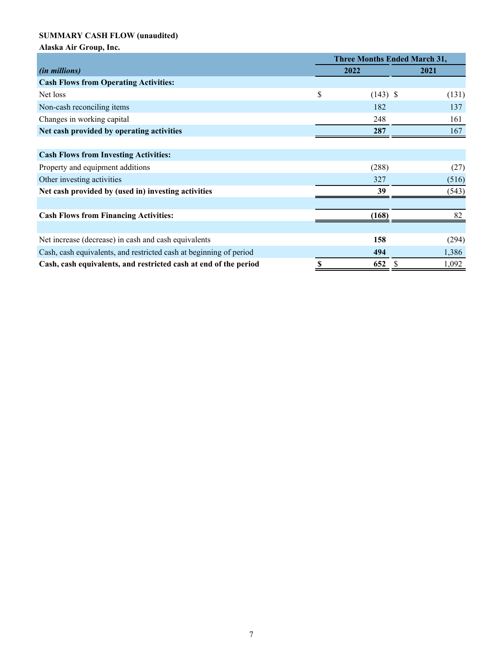# **SUMMARY CASH FLOW (unaudited)**

|                                                                    | <b>Three Months Ended March 31,</b> |   |       |
|--------------------------------------------------------------------|-------------------------------------|---|-------|
| <i>(in millions)</i>                                               | 2022                                |   | 2021  |
| <b>Cash Flows from Operating Activities:</b>                       |                                     |   |       |
| Net loss                                                           | \$<br>$(143)$ \$                    |   | (131) |
| Non-cash reconciling items                                         | 182                                 |   | 137   |
| Changes in working capital                                         | 248                                 |   | 161   |
| Net cash provided by operating activities                          | 287                                 |   | 167   |
|                                                                    |                                     |   |       |
| <b>Cash Flows from Investing Activities:</b>                       |                                     |   |       |
| Property and equipment additions                                   | (288)                               |   | (27)  |
| Other investing activities                                         | 327                                 |   | (516) |
| Net cash provided by (used in) investing activities                | 39                                  |   | (543) |
|                                                                    |                                     |   |       |
| <b>Cash Flows from Financing Activities:</b>                       | (168)                               |   | 82    |
|                                                                    |                                     |   |       |
| Net increase (decrease) in cash and cash equivalents               | 158                                 |   | (294) |
| Cash, cash equivalents, and restricted cash at beginning of period | 494                                 |   | 1,386 |
| Cash, cash equivalents, and restricted cash at end of the period   | 652                                 | S | 1,092 |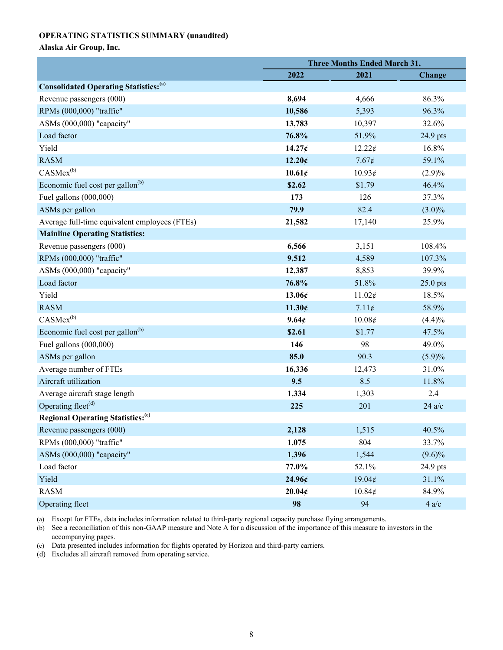### **OPERATING STATISTICS SUMMARY (unaudited)**

## **Alaska Air Group, Inc.**

|                                                          | <b>Three Months Ended March 31,</b> |                        |            |  |  |  |
|----------------------------------------------------------|-------------------------------------|------------------------|------------|--|--|--|
|                                                          | 2022                                | 2021                   | Change     |  |  |  |
| <b>Consolidated Operating Statistics:</b> <sup>(a)</sup> |                                     |                        |            |  |  |  |
| Revenue passengers (000)                                 | 8,694                               | 4,666                  | 86.3%      |  |  |  |
| RPMs (000,000) "traffic"                                 | 10,586                              | 5,393                  | 96.3%      |  |  |  |
| ASMs (000,000) "capacity"                                | 13,783                              | 10,397                 | 32.6%      |  |  |  |
| Load factor                                              | 76.8%                               | 51.9%                  | 24.9 pts   |  |  |  |
| Yield                                                    | 14.27 <sub>¢</sub>                  | 12.22¢                 | 16.8%      |  |  |  |
| <b>RASM</b>                                              | 12.20c                              | $7.67\text{\textless}$ | 59.1%      |  |  |  |
| $CASMex^{(b)}$                                           | 10.61¢                              | 10.93¢                 | $(2.9)\%$  |  |  |  |
| Economic fuel cost per gallon <sup>(b)</sup>             | \$2.62                              | \$1.79                 | 46.4%      |  |  |  |
| Fuel gallons $(000,000)$                                 | 173                                 | 126                    | 37.3%      |  |  |  |
| ASMs per gallon                                          | 79.9                                | 82.4                   | $(3.0)\%$  |  |  |  |
| Average full-time equivalent employees (FTEs)            | 21,582                              | 17,140                 | 25.9%      |  |  |  |
| <b>Mainline Operating Statistics:</b>                    |                                     |                        |            |  |  |  |
| Revenue passengers (000)                                 | 6,566                               | 3,151                  | 108.4%     |  |  |  |
| RPMs (000,000) "traffic"                                 | 9,512                               | 4,589                  | 107.3%     |  |  |  |
| ASMs (000,000) "capacity"                                | 12,387                              | 8,853                  | 39.9%      |  |  |  |
| Load factor                                              | 76.8%                               | 51.8%                  | $25.0$ pts |  |  |  |
| Yield                                                    | 13.06c                              | 11.02¢                 | 18.5%      |  |  |  |
| <b>RASM</b>                                              | 11.30c                              | 7.11¢                  | 58.9%      |  |  |  |
| $CASMex^{(b)}$                                           | 9.64¢                               | 10.08¢                 | (4.4)%     |  |  |  |
| Economic fuel cost per gallon <sup>(b)</sup>             | \$2.61                              | \$1.77                 | 47.5%      |  |  |  |
| Fuel gallons $(000,000)$                                 | 146                                 | 98                     | 49.0%      |  |  |  |
| ASMs per gallon                                          | 85.0                                | 90.3                   | $(5.9)\%$  |  |  |  |
| Average number of FTEs                                   | 16,336                              | 12,473                 | 31.0%      |  |  |  |
| Aircraft utilization                                     | 9.5                                 | 8.5                    | 11.8%      |  |  |  |
| Average aircraft stage length                            | 1,334                               | 1,303                  | 2.4        |  |  |  |
| Operating fleet <sup>(d)</sup>                           | 225                                 | 201                    | $24$ a/c   |  |  |  |
| <b>Regional Operating Statistics:</b> <sup>(c)</sup>     |                                     |                        |            |  |  |  |
| Revenue passengers (000)                                 | 2,128                               | 1,515                  | 40.5%      |  |  |  |
| RPMs (000,000) "traffic"                                 | 1,075                               | 804                    | 33.7%      |  |  |  |
| ASMs (000,000) "capacity"                                | 1,396                               | 1,544                  | $(9.6)\%$  |  |  |  |
| Load factor                                              | 77.0%                               | 52.1%                  | 24.9 pts   |  |  |  |
| Yield                                                    | 24.96 <sub>¢</sub>                  | 19.04¢                 | 31.1%      |  |  |  |
| <b>RASM</b>                                              | 20.04c                              | 10.84¢                 | 84.9%      |  |  |  |
| Operating fleet                                          | 98                                  | 94                     | $4$ a/c    |  |  |  |

(a) Except for FTEs, data includes information related to third-party regional capacity purchase flying arrangements.

(b) See a reconciliation of this non-GAAP measure and Note A for a discussion of the importance of this measure to investors in the accompanying pages.

(c) Data presented includes information for flights operated by Horizon and third-party carriers.

(d) Excludes all aircraft removed from operating service.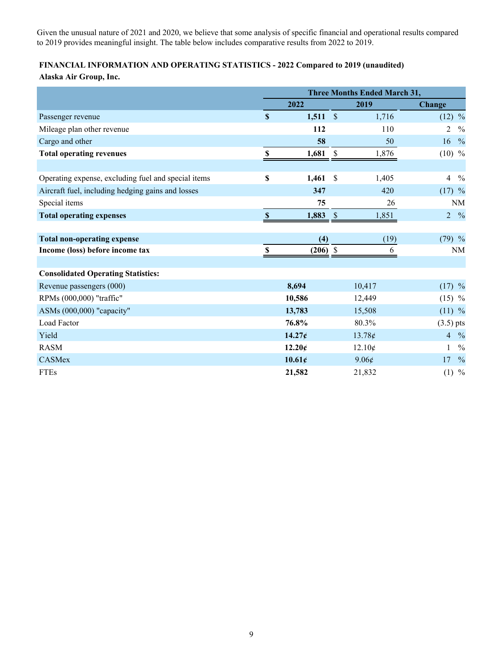Given the unusual nature of 2021 and 2020, we believe that some analysis of specific financial and operational results compared to 2019 provides meaningful insight. The table below includes comparative results from 2022 to 2019.

# **FINANCIAL INFORMATION AND OPERATING STATISTICS - 2022 Compared to 2019 (unaudited)**

|                                                     | <b>Three Months Ended March 31,</b> |                    |                    |        |                |               |  |  |
|-----------------------------------------------------|-------------------------------------|--------------------|--------------------|--------|----------------|---------------|--|--|
|                                                     |                                     | 2022               |                    | 2019   | <b>Change</b>  |               |  |  |
| Passenger revenue                                   | $\mathbf S$                         | 1,511              | $\mathbf{\hat{s}}$ | 1,716  | $(12)$ %       |               |  |  |
| Mileage plan other revenue                          |                                     | 112                |                    | 110    | $\overline{2}$ | $\frac{0}{0}$ |  |  |
| Cargo and other                                     |                                     | 58                 |                    | 50     | 16             | $\frac{0}{0}$ |  |  |
| <b>Total operating revenues</b>                     | $\boldsymbol{\mathsf{S}}$           | 1,681              | $\mathbb{S}$       | 1,876  | $(10)$ %       |               |  |  |
|                                                     |                                     |                    |                    |        |                |               |  |  |
| Operating expense, excluding fuel and special items | \$                                  | 1,461              | $\mathbf{\hat{S}}$ | 1,405  | $\overline{4}$ | $\frac{0}{0}$ |  |  |
| Aircraft fuel, including hedging gains and losses   |                                     | 347                |                    | 420    | $(17)$ %       |               |  |  |
| Special items                                       |                                     | 75                 |                    | 26     |                | NM            |  |  |
| <b>Total operating expenses</b>                     | $\mathbf{s}$                        | 1,883              | $\mathcal{S}$      | 1,851  | $\overline{2}$ | $\frac{0}{0}$ |  |  |
|                                                     |                                     |                    |                    |        |                |               |  |  |
| <b>Total non-operating expense</b>                  |                                     | (4)                |                    | (19)   | $(79)$ %       |               |  |  |
| Income (loss) before income tax                     | <sup>\$</sup>                       | $(206)$ \$         |                    | 6      |                | NM            |  |  |
|                                                     |                                     |                    |                    |        |                |               |  |  |
| <b>Consolidated Operating Statistics:</b>           |                                     |                    |                    |        |                |               |  |  |
| Revenue passengers (000)                            |                                     | 8,694              |                    | 10,417 | $(17)$ %       |               |  |  |
| RPMs (000,000) "traffic"                            |                                     | 10,586             |                    | 12,449 | $(15)$ %       |               |  |  |
| ASMs (000,000) "capacity"                           |                                     | 13,783             |                    | 15,508 | $(11)$ %       |               |  |  |
| Load Factor                                         |                                     | 76.8%              |                    | 80.3%  | $(3.5)$ pts    |               |  |  |
| Yield                                               |                                     | 14.27 <sub>¢</sub> |                    | 13.78¢ | $4\frac{9}{6}$ |               |  |  |
| <b>RASM</b>                                         |                                     | 12.20c             |                    | 12.10¢ |                | $\frac{0}{0}$ |  |  |
| CASMex                                              |                                     | 10.61c             |                    | 9.06¢  | 17             | $\frac{0}{0}$ |  |  |
| <b>FTEs</b>                                         |                                     | 21,582             |                    | 21,832 | $(1)$ %        |               |  |  |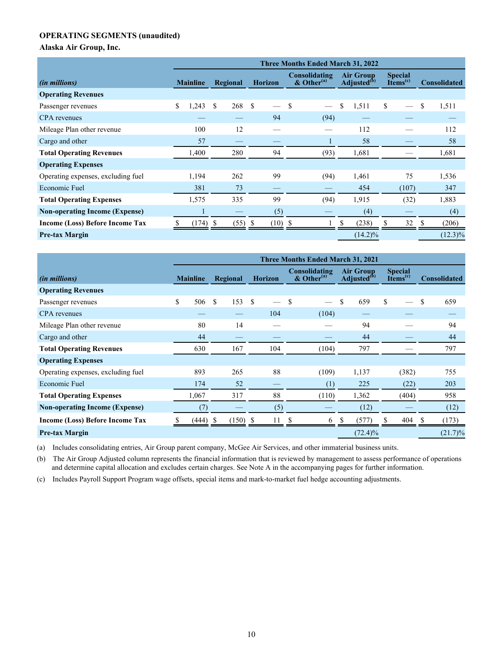## **OPERATING SEGMENTS (unaudited)**

**Alaska Air Group, Inc.**

|                                        | <b>Three Months Ended March 31, 2022</b> |    |                |               |                                  |                                             |    |                                        |    |                     |    |            |
|----------------------------------------|------------------------------------------|----|----------------|---------------|----------------------------------|---------------------------------------------|----|----------------------------------------|----|---------------------|----|------------|
| <i>(in millions)</i>                   | Regional<br><b>Mainline</b>              |    | <b>Horizon</b> |               | Consolidating<br>$&$ Other $(a)$ | <b>Air Group</b><br>Adjusted <sup>(b)</sup> |    | <b>Special</b><br>Items <sup>(c)</sup> |    | <b>Consolidated</b> |    |            |
| <b>Operating Revenues</b>              |                                          |    |                |               |                                  |                                             |    |                                        |    |                     |    |            |
| Passenger revenues                     | \$<br>1,243                              | \$ | 268            | <sup>\$</sup> |                                  | $\mathbf{s}$                                | \$ | 1,511                                  | \$ |                     | \$ | 1,511      |
| CPA revenues                           |                                          |    |                |               | 94                               | (94)                                        |    |                                        |    |                     |    |            |
| Mileage Plan other revenue             | 100                                      |    | 12             |               |                                  |                                             |    | 112                                    |    |                     |    | 112        |
| Cargo and other                        | 57                                       |    |                |               |                                  |                                             |    | 58                                     |    |                     |    | 58         |
| <b>Total Operating Revenues</b>        | 1,400                                    |    | 280            |               | 94                               | (93)                                        |    | 1,681                                  |    |                     |    | 1,681      |
| <b>Operating Expenses</b>              |                                          |    |                |               |                                  |                                             |    |                                        |    |                     |    |            |
| Operating expenses, excluding fuel     | 1,194                                    |    | 262            |               | 99                               | (94)                                        |    | 1,461                                  |    | 75                  |    | 1,536      |
| Economic Fuel                          | 381                                      |    | 73             |               |                                  |                                             |    | 454                                    |    | (107)               |    | 347        |
| <b>Total Operating Expenses</b>        | 1,575                                    |    | 335            |               | 99                               | (94)                                        |    | 1,915                                  |    | (32)                |    | 1,883      |
| <b>Non-operating Income (Expense)</b>  |                                          |    |                |               | (5)                              |                                             |    | (4)                                    |    |                     |    | (4)        |
| <b>Income (Loss) Before Income Tax</b> | (174)                                    |    | (55)           |               | (10)                             |                                             |    | (238)                                  |    | 32                  |    | (206)      |
| <b>Pre-tax Margin</b>                  |                                          |    |                |               |                                  |                                             |    | $(14.2)\%$                             |    |                     |    | $(12.3)\%$ |

|                                       |                                               | <b>Three Months Ended March 31, 2021</b> |                                           |                                             |    |     |                                  |                     |               |            |     |       |    |            |
|---------------------------------------|-----------------------------------------------|------------------------------------------|-------------------------------------------|---------------------------------------------|----|-----|----------------------------------|---------------------|---------------|------------|-----|-------|----|------------|
| <i>(in millions)</i>                  | <b>Horizon</b><br><b>Mainline</b><br>Regional |                                          | Consolidating<br>$&$ Other <sup>(a)</sup> | <b>Air Group</b><br>Adjusted <sup>(b)</sup> |    |     | <b>Special</b><br>$I$ tems $(c)$ | <b>Consolidated</b> |               |            |     |       |    |            |
| <b>Operating Revenues</b>             |                                               |                                          |                                           |                                             |    |     |                                  |                     |               |            |     |       |    |            |
| Passenger revenues                    | \$                                            | 506                                      | \$                                        | 153                                         | -S |     | $\mathbf s$                      |                     | <sup>\$</sup> | 659        | \$. |       | \$ | 659        |
| <b>CPA</b> revenues                   |                                               |                                          |                                           |                                             |    | 104 |                                  | (104)               |               |            |     |       |    |            |
| Mileage Plan other revenue            |                                               | 80                                       |                                           | 14                                          |    |     |                                  |                     |               | 94         |     |       |    | 94         |
| Cargo and other                       |                                               | 44                                       |                                           |                                             |    |     |                                  |                     |               | 44         |     |       |    | 44         |
| <b>Total Operating Revenues</b>       |                                               | 630                                      |                                           | 167                                         |    | 104 |                                  | (104)               |               | 797        |     |       |    | 797        |
| <b>Operating Expenses</b>             |                                               |                                          |                                           |                                             |    |     |                                  |                     |               |            |     |       |    |            |
| Operating expenses, excluding fuel    |                                               | 893                                      |                                           | 265                                         |    | 88  |                                  | (109)               |               | 1,137      |     | (382) |    | 755        |
| Economic Fuel                         |                                               | 174                                      |                                           | 52                                          |    |     |                                  | (1)                 |               | 225        |     | (22)  |    | 203        |
| <b>Total Operating Expenses</b>       |                                               | 1,067                                    |                                           | 317                                         |    | 88  |                                  | (110)               |               | 1,362      |     | (404) |    | 958        |
| <b>Non-operating Income (Expense)</b> |                                               | (7)                                      |                                           |                                             |    | (5) |                                  |                     |               | (12)       |     |       |    | (12)       |
| Income (Loss) Before Income Tax       |                                               | (444) \$                                 |                                           | $(150)$ \$                                  |    | 11  | ъ                                | 6                   | \$.           | (577)      | Ъ.  | 404   | -S | (173)      |
| <b>Pre-tax Margin</b>                 |                                               |                                          |                                           |                                             |    |     |                                  |                     |               | $(72.4)\%$ |     |       |    | $(21.7)\%$ |

(a) Includes consolidating entries, Air Group parent company, McGee Air Services, and other immaterial business units.

(b) The Air Group Adjusted column represents the financial information that is reviewed by management to assess performance of operations and determine capital allocation and excludes certain charges. See Note A in the accompanying pages for further information.

(c) Includes Payroll Support Program wage offsets, special items and mark-to-market fuel hedge accounting adjustments.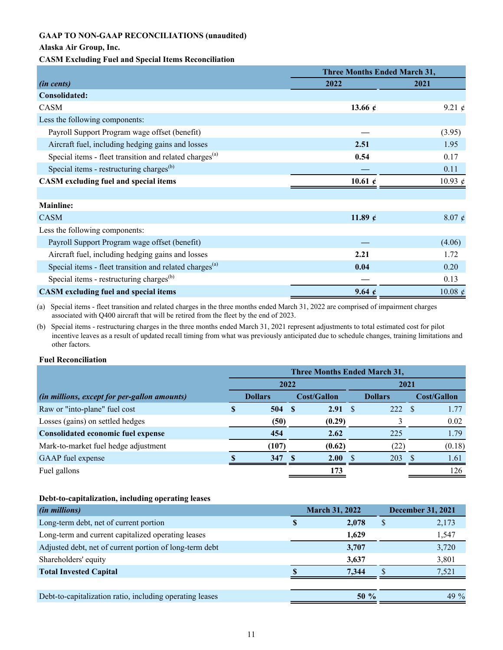## **GAAP TO NON-GAAP RECONCILIATIONS (unaudited)**

## **Alaska Air Group, Inc.**

## **CASM Excluding Fuel and Special Items Reconciliation**

|                                                                     | <b>Three Months Ended March 31,</b> |               |  |
|---------------------------------------------------------------------|-------------------------------------|---------------|--|
| (in cents)                                                          | 2022                                | 2021          |  |
| Consolidated:                                                       |                                     |               |  |
| CASM                                                                | 13.66 $e$                           | 9.21 $\phi$   |  |
| Less the following components:                                      |                                     |               |  |
| Payroll Support Program wage offset (benefit)                       |                                     | (3.95)        |  |
| Aircraft fuel, including hedging gains and losses                   | 2.51                                | 1.95          |  |
| Special items - fleet transition and related charges <sup>(a)</sup> | 0.54                                | 0.17          |  |
| Special items - restructuring charges <sup>(b)</sup>                |                                     | 0.11          |  |
| <b>CASM</b> excluding fuel and special items                        | 10.61 $\epsilon$                    | 10.93 $\phi$  |  |
|                                                                     |                                     |               |  |
| <b>Mainline:</b>                                                    |                                     |               |  |
| <b>CASM</b>                                                         | 11.89 $\epsilon$                    | $8.07 \notin$ |  |
| Less the following components:                                      |                                     |               |  |
| Payroll Support Program wage offset (benefit)                       |                                     | (4.06)        |  |
| Aircraft fuel, including hedging gains and losses                   | 2.21                                | 1.72          |  |
| Special items - fleet transition and related charges <sup>(a)</sup> | 0.04                                | 0.20          |  |
| Special items - restructuring charges <sup>(b)</sup>                |                                     | 0.13          |  |
| <b>CASM</b> excluding fuel and special items                        | 9.64 $\epsilon$                     | 10.08 $\phi$  |  |

(a) Special items - fleet transition and related charges in the three months ended March 31, 2022 are comprised of impairment charges associated with Q400 aircraft that will be retired from the fleet by the end of 2023.

(b) Special items - restructuring charges in the three months ended March 31, 2021 represent adjustments to total estimated cost for pilot incentive leaves as a result of updated recall timing from what was previously anticipated due to schedule changes, training limitations and other factors.

#### **Fuel Reconciliation**

|                                              | <b>Three Months Ended March 31,</b> |       |                    |              |                |      |                    |        |
|----------------------------------------------|-------------------------------------|-------|--------------------|--------------|----------------|------|--------------------|--------|
|                                              | 2022                                |       |                    |              | 2021           |      |                    |        |
| (in millions, except for per-gallon amounts) | <b>Dollars</b>                      |       | <b>Cost/Gallon</b> |              | <b>Dollars</b> |      | <b>Cost/Gallon</b> |        |
| Raw or "into-plane" fuel cost                | S                                   | 504   | -S                 | $2.91 \quad$ |                | 222  | -S                 | 1.77   |
| Losses (gains) on settled hedges             |                                     | (50)  |                    | (0.29)       |                |      |                    | 0.02   |
| <b>Consolidated economic fuel expense</b>    |                                     | 454   |                    | 2.62         |                | 225  |                    | 1.79   |
| Mark-to-market fuel hedge adjustment         |                                     | (107) |                    | (0.62)       |                | (22) |                    | (0.18) |
| GAAP fuel expense                            |                                     | 347   |                    | 2.00         |                | 203  |                    | 1.61   |
| Fuel gallons                                 |                                     |       |                    | 173          |                |      |                    | 126    |

## **Debt-to-capitalization, including operating leases**

| <i>(in millions)</i>                                     | <b>March 31, 2022</b> |         | <b>December 31, 2021</b> |         |
|----------------------------------------------------------|-----------------------|---------|--------------------------|---------|
| Long-term debt, net of current portion                   |                       | 2,078   | S                        | 2,173   |
| Long-term and current capitalized operating leases       |                       | 1,629   |                          | 1,547   |
| Adjusted debt, net of current portion of long-term debt  |                       | 3,707   |                          | 3,720   |
| Shareholders' equity                                     |                       | 3,637   |                          | 3,801   |
| <b>Total Invested Capital</b>                            |                       | 7.344   |                          | 7,521   |
|                                                          |                       |         |                          |         |
| Debt-to-capitalization ratio, including operating leases |                       | $50 \%$ |                          | 49 $\%$ |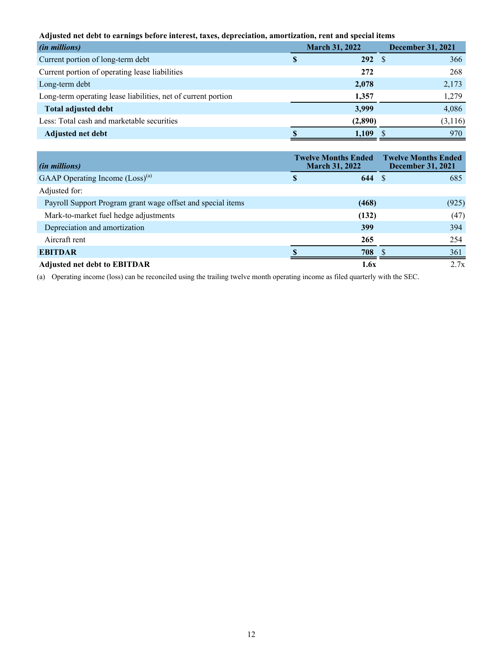**Adjusted net debt to earnings before interest, taxes, depreciation, amortization, rent and special items**

| (in millions)                                                 | <b>March 31, 2022</b> |             | <b>December 31, 2021</b> |  |
|---------------------------------------------------------------|-----------------------|-------------|--------------------------|--|
| Current portion of long-term debt                             | S.                    | $292 \quad$ | 366                      |  |
| Current portion of operating lease liabilities                |                       | 272         | 268                      |  |
| Long-term debt                                                |                       | 2,078       | 2,173                    |  |
| Long-term operating lease liabilities, net of current portion |                       | 1,357       | 1,279                    |  |
| <b>Total adjusted debt</b>                                    |                       | 3,999       | 4,086                    |  |
| Less: Total cash and marketable securities                    |                       | (2,890)     | (3,116)                  |  |
| Adjusted net debt                                             |                       | 1,109       | 970                      |  |

| <i>(in millions)</i>                                        |          | <b>Twelve Months Ended</b><br><b>March 31, 2022</b> | <b>Twelve Months Ended</b><br><b>December 31, 2021</b> |      |
|-------------------------------------------------------------|----------|-----------------------------------------------------|--------------------------------------------------------|------|
| GAAP Operating Income (Loss) <sup>(a)</sup>                 | <b>S</b> | 644S                                                | 685                                                    |      |
| Adjusted for:                                               |          |                                                     |                                                        |      |
| Payroll Support Program grant wage offset and special items |          | (468)                                               | (925)                                                  |      |
| Mark-to-market fuel hedge adjustments                       |          | (132)                                               |                                                        | (47) |
| Depreciation and amortization                               |          | 399                                                 | 394                                                    |      |
| Aircraft rent                                               |          | 265                                                 | 254                                                    |      |
| <b>EBITDAR</b>                                              |          | 708                                                 | 361                                                    |      |
| <b>Adjusted net debt to EBITDAR</b>                         |          | 1.6x                                                |                                                        | 2.7x |

(a) Operating income (loss) can be reconciled using the trailing twelve month operating income as filed quarterly with the SEC.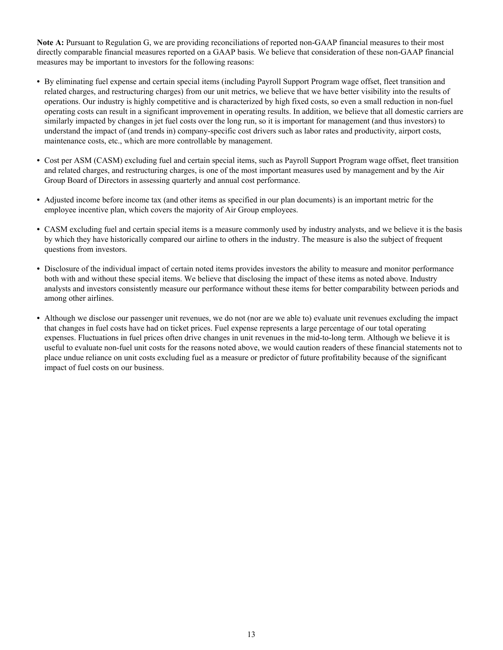**Note A:** Pursuant to Regulation G, we are providing reconciliations of reported non-GAAP financial measures to their most directly comparable financial measures reported on a GAAP basis. We believe that consideration of these non-GAAP financial measures may be important to investors for the following reasons:

- **•** By eliminating fuel expense and certain special items (including Payroll Support Program wage offset, fleet transition and related charges, and restructuring charges) from our unit metrics, we believe that we have better visibility into the results of operations. Our industry is highly competitive and is characterized by high fixed costs, so even a small reduction in non-fuel operating costs can result in a significant improvement in operating results. In addition, we believe that all domestic carriers are similarly impacted by changes in jet fuel costs over the long run, so it is important for management (and thus investors) to understand the impact of (and trends in) company-specific cost drivers such as labor rates and productivity, airport costs, maintenance costs, etc., which are more controllable by management.
- **•** Cost per ASM (CASM) excluding fuel and certain special items, such as Payroll Support Program wage offset, fleet transition and related charges, and restructuring charges, is one of the most important measures used by management and by the Air Group Board of Directors in assessing quarterly and annual cost performance.
- **•** Adjusted income before income tax (and other items as specified in our plan documents) is an important metric for the employee incentive plan, which covers the majority of Air Group employees.
- **•** CASM excluding fuel and certain special items is a measure commonly used by industry analysts, and we believe it is the basis by which they have historically compared our airline to others in the industry. The measure is also the subject of frequent questions from investors.
- **•** Disclosure of the individual impact of certain noted items provides investors the ability to measure and monitor performance both with and without these special items. We believe that disclosing the impact of these items as noted above. Industry analysts and investors consistently measure our performance without these items for better comparability between periods and among other airlines.
- **•** Although we disclose our passenger unit revenues, we do not (nor are we able to) evaluate unit revenues excluding the impact that changes in fuel costs have had on ticket prices. Fuel expense represents a large percentage of our total operating expenses. Fluctuations in fuel prices often drive changes in unit revenues in the mid-to-long term. Although we believe it is useful to evaluate non-fuel unit costs for the reasons noted above, we would caution readers of these financial statements not to place undue reliance on unit costs excluding fuel as a measure or predictor of future profitability because of the significant impact of fuel costs on our business.